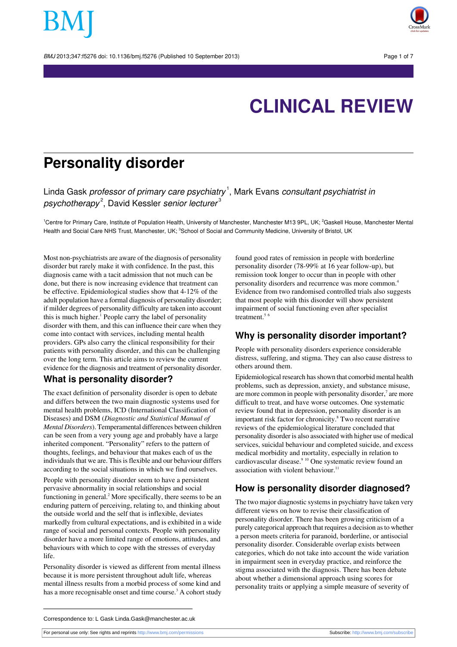BMJ 2013;347:f5276 doi: 10.1136/bmj.f5276 (Published 10 September 2013) Page 1 of 7



# **CLINICAL REVIEW**

# **Personality disorder**

Linda Gask *professor of primary care psychiatry* <sup>1</sup>, Mark Evans *consultant psychiatrist in psychotherapy*<sup>2</sup>, David Kessler *senior lecturer*<sup>3</sup>

<sup>1</sup>Centre for Primary Care, Institute of Population Health, University of Manchester, Manchester M13 9PL, UK; <sup>2</sup>Gaskell House, Manchester Mental Health and Social Care NHS Trust, Manchester, UK; <sup>3</sup>School of Social and Community Medicine, University of Bristol, UK

Most non-psychiatrists are aware of the diagnosis of personality disorder but rarely make it with confidence. In the past, this diagnosis came with a tacit admission that not much can be done, but there is now increasing evidence that treatment can be effective. Epidemiological studies show that 4-12% of the adult population have a formal diagnosis of personality disorder; if milder degrees of personality difficulty are taken into account this is much higher.<sup>1</sup> People carry the label of personality disorder with them, and this can influence their care when they come into contact with services, including mental health providers. GPs also carry the clinical responsibility for their patients with personality disorder, and this can be challenging over the long term. This article aims to review the current evidence for the diagnosis and treatment of personality disorder.

## **What is personality disorder?**

The exact definition of personality disorder is open to debate and differs between the two main diagnostic systems used for mental health problems, ICD (International Classification of Diseases) and DSM (*Diagnostic and Statistical Manual of Mental Disorders*). Temperamental differences between children can be seen from a very young age and probably have a large inherited component. "Personality" refers to the pattern of thoughts, feelings, and behaviour that makes each of us the individuals that we are. This is flexible and our behaviour differs according to the social situations in which we find ourselves.

People with personality disorder seem to have a persistent pervasive abnormality in social relationships and social functioning in general.<sup>2</sup> More specifically, there seems to be an enduring pattern of perceiving, relating to, and thinking about the outside world and the self that is inflexible, deviates markedly from cultural expectations, and is exhibited in a wide range of social and personal contexts. People with personality disorder have a more limited range of emotions, attitudes, and behaviours with which to cope with the stresses of everyday life.

Personality disorder is viewed as different from mental illness because it is more persistent throughout adult life, whereas mental illness results from a morbid process of some kind and has a more recognisable onset and time course.<sup>3</sup> A cohort study

found good rates of remission in people with borderline personality disorder (78-99% at 16 year follow-up), but remission took longer to occur than in people with other personality disorders and recurrence was more common.<sup>4</sup> Evidence from two randomised controlled trials also suggests that most people with this disorder will show persistent impairment of social functioning even after specialist treatment.<sup>5 6</sup>

## **Why is personality disorder important?**

People with personality disorders experience considerable distress, suffering, and stigma. They can also cause distress to others around them.

Epidemiological research hasshown that comorbid mental health problems, such as depression, anxiety, and substance misuse, are more common in people with personality disorder,<sup>7</sup> are more difficult to treat, and have worse outcomes. One systematic review found that in depression, personality disorder is an important risk factor for chronicity.<sup>8</sup> Two recent narrative reviews of the epidemiological literature concluded that personality disorder is also associated with higher use of medical services, suicidal behaviour and completed suicide, and excess medical morbidity and mortality, especially in relation to cardiovascular disease.<sup>9 10</sup> One systematic review found an association with violent behaviour. $11$ 

## **How is personality disorder diagnosed?**

The two major diagnostic systems in psychiatry have taken very different views on how to revise their classification of personality disorder. There has been growing criticism of a purely categorical approach that requires a decision asto whether a person meets criteria for paranoid, borderline, or antisocial personality disorder. Considerable overlap exists between categories, which do not take into account the wide variation in impairment seen in everyday practice, and reinforce the stigma associated with the diagnosis. There has been debate about whether a dimensional approach using scores for personality traits or applying a simple measure of severity of

Correspondence to: L Gask Linda.Gask@manchester.ac.uk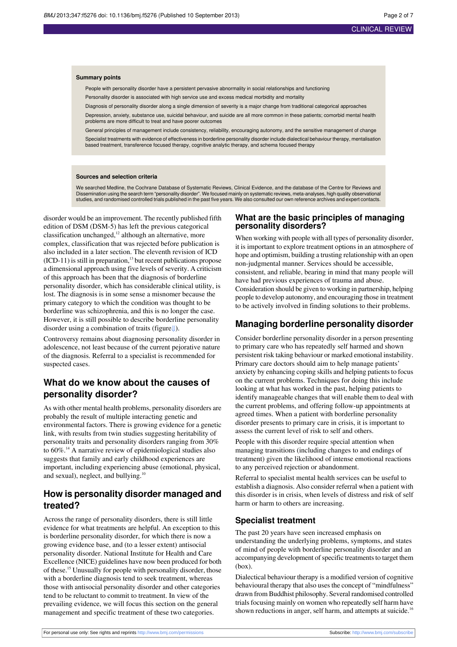#### **Summary points**

People with personality disorder have a persistent pervasive abnormality in social relationships and functioning Personality disorder is associated with high service use and excess medical morbidity and mortality

Diagnosis of personality disorder along a single dimension of severity is a major change from traditional categorical approaches Depression, anxiety, substance use, suicidal behaviour, and suicide are all more common in these patients; comorbid mental health problems are more difficult to treat and have poorer outcomes

General principles of management include consistency, reliability, encouraging autonomy, and the sensitive management of change Specialist treatments with evidence of effectiveness in borderline personality disorder include dialectical behaviour therapy, mentalisation based treatment, transference focused therapy, cognitive analytic therapy, and schema focused therapy

#### **Sources and selection criteria**

We searched Medline, the Cochrane Database of Systematic Reviews, Clinical Evidence, and the database of the Centre for Reviews and Dissemination using the search term "personality disorder". We focused mainly on systematic reviews, meta-analyses, high quality observational studies, and randomised controlled trials published in the past five years. We also consulted our own reference archives and expert contacts.

disorder would be an improvement. The recently published fifth edition of DSM (DSM-5) has left the previous categorical classification unchanged,<sup>12</sup> although an alternative, more complex, classification that was rejected before publication is also included in a later section. The eleventh revision of ICD  $(ICD-11)$  is still in preparation,<sup>13</sup> but recent publications propose a dimensional approach using five levels of severity. A criticism of this approach has been that the diagnosis of borderline personality disorder, which has considerable clinical utility, is lost. The diagnosis is in some sense a misnomer because the primary category to which the condition was thought to be borderline was schizophrenia, and this is no longer the case. However, it is still possible to describe borderline personality disorder using a combination of traits (figure[⇓\)](#page-6-0).

Controversy remains about diagnosing personality disorder in adolescence, not least because of the current pejorative nature of the diagnosis. Referral to a specialist is recommended for suspected cases.

# **What do we know about the causes of personality disorder?**

As with other mental health problems, personality disorders are probably the result of multiple interacting genetic and environmental factors. There is growing evidence for a genetic link, with results from twin studies suggesting heritability of personality traits and personality disorders ranging from 30% to 60%.<sup>14</sup> A narrative review of epidemiological studies also suggests that family and early childhood experiences are important, including experiencing abuse (emotional, physical, and sexual), neglect, and bullying.<sup>10</sup>

## **How is personality disorder managed and treated?**

Across the range of personality disorders, there is still little evidence for what treatments are helpful. An exception to this is borderline personality disorder, for which there is now a growing evidence base, and (to a lesser extent) antisocial personality disorder. National Institute for Health and Care Excellence (NICE) guidelines have now been produced for both of these.<sup>15</sup> Unusually for people with personality disorder, those with a borderline diagnosis tend to seek treatment, whereas those with antisocial personality disorder and other categories tend to be reluctant to commit to treatment. In view of the prevailing evidence, we will focus this section on the general management and specific treatment of these two categories.

## **What are the basic principles of managing personality disorders?**

When working with people with all types of personality disorder, it is important to explore treatment options in an atmosphere of hope and optimism, building a trusting relationship with an open non-judgmental manner. Services should be accessible, consistent, and reliable, bearing in mind that many people will have had previous experiences of trauma and abuse. Consideration should be given to working in partnership, helping people to develop autonomy, and encouraging those in treatment to be actively involved in finding solutions to their problems.

## **Managing borderline personality disorder**

Consider borderline personality disorder in a person presenting to primary care who has repeatedly self harmed and shown persistent risk taking behaviour or marked emotional instability. Primary care doctors should aim to help manage patients' anxiety by enhancing coping skills and helping patients to focus on the current problems. Techniques for doing this include looking at what has worked in the past, helping patients to identify manageable changes that will enable them to deal with the current problems, and offering follow-up appointments at agreed times. When a patient with borderline personality disorder presents to primary care in crisis, it is important to assess the current level of risk to self and others.

People with this disorder require special attention when managing transitions (including changes to and endings of treatment) given the likelihood of intense emotional reactions to any perceived rejection or abandonment.

Referral to specialist mental health services can be useful to establish a diagnosis. Also consider referral when a patient with this disorder is in crisis, when levels of distress and risk of self harm or harm to others are increasing.

## **Specialist treatment**

The past 20 years have seen increased emphasis on understanding the underlying problems, symptoms, and states of mind of people with borderline personality disorder and an accompanying development of specific treatments to target them (box).

Dialectical behaviour therapy is a modified version of cognitive behavioural therapy that also uses the concept of "mindfulness" drawn from Buddhist philosophy. Several randomised controlled trials focusing mainly on women who repeatedly self harm have shown reductions in anger, self harm, and attempts at suicide.<sup>16</sup>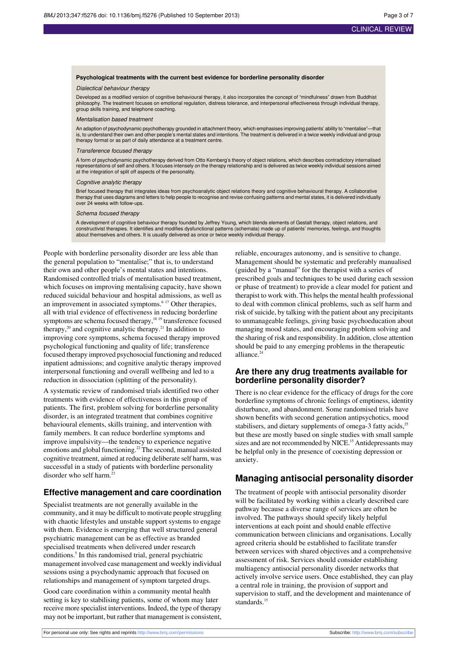#### **Psychological treatments with the current best evidence for borderline personality disorder**

### Dialectical behaviour therapy

Developed as a modified version of cognitive behavioural therapy, it also incorporates the concept of "mindfulness" drawn from Buddhist philosophy. The treatment focuses on emotional regulation, distress tolerance, and interpersonal effectiveness through individual therapy, group skills training, and telephone coaching.

#### Mentalisation based treatment

An adaption of psychodynamic psychotherapy grounded in attachment theory, which emphasises improving patients' ability to "mentalise"—that is, to understand their own and other people's mental states and intentions. The treatment is delivered in a twice weekly individual and group therapy format or as part of daily attendance at a treatment centre.

#### Transference focused therapy

A form of psychodynamic psychotherapy derived from Otto Kernberg's theory of object relations, which describes contradictory internalised representations of self and others. It focuses intensely on the therapy relationship and is delivered as twice weekly individual sessions aimed at the integration of split off aspects of the personality.

#### Cognitive analytic therapy

Brief focused therapy that integrates ideas from psychoanalytic object relations theory and cognitive behavioural therapy. A collaborative therapy that uses diagrams and letters to help people to recognise and revise confusing patterns and mental states, it is delivered individually over 24 weeks with follow-ups.

## Schema focused therapy

A development of cognitive behaviour therapy founded by Jeffrey Young, which blends elements of Gestalt therapy, object relations, and constructivist therapies. It identifies and modifies dysfunctional patterns (schemata) made up of patients' memories, feelings, and thoughts about themselves and others. It is usually delivered as once or twice weekly individual therapy.

People with borderline personality disorder are less able than the general population to "mentalise;" that is, to understand their own and other people's mental states and intentions. Randomised controlled trials of mentalisation based treatment, which focuses on improving mentalising capacity, have shown reduced suicidal behaviour and hospital admissions, as well as an improvement in associated symptoms.<sup>6 17</sup> Other therapies, all with trial evidence of effectiveness in reducing borderline symptoms are schema focused therapy,<sup>18 19</sup> transference focused therapy, $20$  and cognitive analytic therapy.<sup>21</sup> In addition to improving core symptoms, schema focused therapy improved psychological functioning and quality of life; transference focused therapy improved psychosocial functioning and reduced inpatient admissions; and cognitive analytic therapy improved interpersonal functioning and overall wellbeing and led to a reduction in dissociation (splitting of the personality).

A systematic review of randomised trials identified two other treatments with evidence of effectiveness in this group of patients. The first, problem solving for borderline personality disorder, is an integrated treatment that combines cognitive behavioural elements, skills training, and intervention with family members. It can reduce borderline symptoms and improve impulsivity—the tendency to experience negative emotions and global functioning.<sup>22</sup> The second, manual assisted cognitive treatment, aimed at reducing deliberate self harm, was successful in a study of patients with borderline personality disorder who self harm.<sup>23</sup>

## **Effective management and care coordination**

Specialist treatments are not generally available in the community, and it may be difficult to motivate people struggling with chaotic lifestyles and unstable support systems to engage with them. Evidence is emerging that well structured general psychiatric management can be as effective as branded specialised treatments when delivered under research conditions.<sup>5</sup> In this randomised trial, general psychiatric management involved case management and weekly individual sessions using a psychodynamic approach that focused on relationships and management of symptom targeted drugs.

Good care coordination within a community mental health setting is key to stabilising patients, some of whom may later receive more specialist interventions. Indeed, the type of therapy may not be important, but rather that management is consistent,

reliable, encourages autonomy, and is sensitive to change. Management should be systematic and preferably manualised (guided by a "manual" for the therapist with a series of prescribed goals and techniques to be used during each session or phase of treatment) to provide a clear model for patient and therapist to work with. This helps the mental health professional to deal with common clinical problems, such as self harm and risk of suicide, by talking with the patient about any precipitants to unmanageable feelings, giving basic psychoeducation about managing mood states, and encouraging problem solving and the sharing of risk and responsibility. In addition, close attention should be paid to any emerging problems in the therapeutic alliance.<sup>2</sup>

## **Are there any drug treatments available for borderline personality disorder?**

There is no clear evidence for the efficacy of drugs for the core borderline symptoms of chronic feelings of emptiness, identity disturbance, and abandonment. Some randomised trials have shown benefits with second generation antipsychotics, mood stabilisers, and dietary supplements of omega-3 fatty acids, $^{25}$ but these are mostly based on single studies with small sample sizes and are not recommended by NICE.<sup>15</sup> Antidepressants may be helpful only in the presence of coexisting depression or anxiety.

## **Managing antisocial personality disorder**

The treatment of people with antisocial personality disorder will be facilitated by working within a clearly described care pathway because a diverse range of services are often be involved. The pathways should specify likely helpful interventions at each point and should enable effective communication between clinicians and organisations. Locally agreed criteria should be established to facilitate transfer between services with shared objectives and a comprehensive assessment of risk. Services should consider establishing multiagency antisocial personality disorder networks that actively involve service users. Once established, they can play a central role in training, the provision of support and supervision to staff, and the development and maintenance of standards.<sup>15</sup>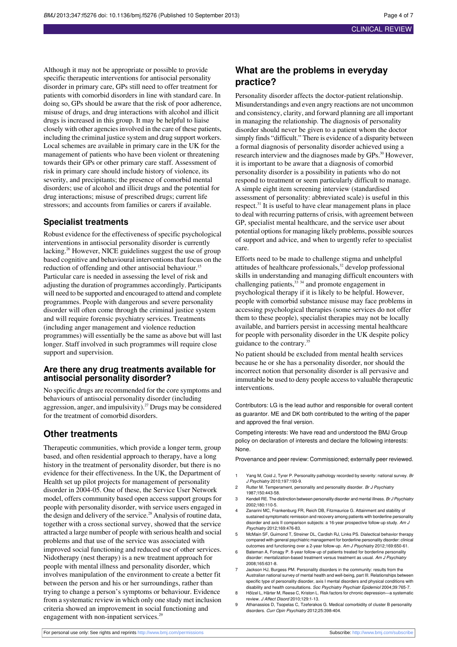Although it may not be appropriate or possible to provide specific therapeutic interventions for antisocial personality disorder in primary care, GPs still need to offer treatment for patients with comorbid disorders in line with standard care. In doing so, GPs should be aware that the risk of poor adherence, misuse of drugs, and drug interactions with alcohol and illicit drugs is increased in this group. It may be helpful to liaise closely with other agenciesinvolved in the care of these patients, including the criminal justice system and drug support workers. Local schemes are available in primary care in the UK for the management of patients who have been violent or threatening towards their GPs or other primary care staff. Assessment of risk in primary care should include history of violence, its severity, and precipitants; the presence of comorbid mental disorders; use of alcohol and illicit drugs and the potential for drug interactions; misuse of prescribed drugs; current life stressors; and accounts from families or carers if available.

## **Specialist treatments**

Robust evidence for the effectiveness of specific psychological interventions in antisocial personality disorder is currently lacking.<sup>26</sup> However, NICE guidelines suggest the use of group based cognitive and behavioural interventions that focus on the reduction of offending and other antisocial behaviour.<sup>15</sup> Particular care is needed in assessing the level of risk and adjusting the duration of programmes accordingly. Participants will need to be supported and encouraged to attend and complete programmes. People with dangerous and severe personality disorder will often come through the criminal justice system and will require forensic psychiatry services. Treatments (including anger management and violence reduction programmes) will essentially be the same as above but will last longer. Staff involved in such programmes will require close support and supervision.

## **Are there any drug treatments available for antisocial personality disorder?**

No specific drugs are recommended for the core symptoms and behaviours of antisocial personality disorder (including aggression, anger, and impulsivity). $27$  Drugs may be considered for the treatment of comorbid disorders.

## **Other treatments**

Therapeutic communities, which provide a longer term, group based, and often residential approach to therapy, have a long history in the treatment of personality disorder, but there is no evidence for their effectiveness. In the UK, the Department of Health set up pilot projects for management of personality disorder in 2004-05. One of these, the Service User Network model, offers community based open access support groups for people with personality disorder, with service users engaged in the design and delivery of the service.<sup>28</sup> Analysis of routine data, together with a cross sectional survey, showed that the service attracted a large number of people with serious health and social problems and that use of the service was associated with improved social functioning and reduced use of other services. Nidotherapy (nest therapy) is a new treatment approach for people with mental illness and personality disorder, which involves manipulation of the environment to create a better fit between the person and his or her surroundings, rather than trying to change a person's symptoms or behaviour. Evidence from a systematic review in which only one study met inclusion criteria showed an improvement in social functioning and engagement with non-inpatient services.<sup>29</sup>

# **What are the problems in everyday practice?**

Personality disorder affects the doctor-patient relationship. Misunderstandings and even angry reactions are not uncommon and consistency, clarity, and forward planning are all important in managing the relationship. The diagnosis of personality disorder should never be given to a patient whom the doctor simply finds "difficult." There is evidence of a disparity between a formal diagnosis of personality disorder achieved using a research interview and the diagnoses made by GPs.<sup>30</sup> However, it is important to be aware that a diagnosis of comorbid personality disorder is a possibility in patients who do not respond to treatment or seem particularly difficult to manage. A simple eight item screening interview (standardised assessment of personality: abbreviated scale) is useful in this respect.<sup>31</sup> It is useful to have clear management plans in place to deal with recurring patterns of crisis, with agreement between GP, specialist mental healthcare, and the service user about potential options for managing likely problems, possible sources of support and advice, and when to urgently refer to specialist care.

Efforts need to be made to challenge stigma and unhelpful attitudes of healthcare professionals, $32$  develop professional skills in understanding and managing difficult encounters with challenging patients,  $33/34$  and promote engagement in psychological therapy if it is likely to be helpful. However, people with comorbid substance misuse may face problems in accessing psychological therapies (some services do not offer them to these people), specialist therapies may not be locally available, and barriers persist in accessing mental healthcare for people with personality disorder in the UK despite policy guidance to the contrary.<sup>35</sup>

No patient should be excluded from mental health services because he or she has a personality disorder, nor should the incorrect notion that personality disorder is all pervasive and immutable be used to deny people accessto valuable therapeutic interventions.

Contributors: LG is the lead author and responsible for overall content as guarantor. ME and DK both contributed to the writing of the paper and approved the final version.

Competing interests: We have read and understood the BMJ Group policy on declaration of interests and declare the following interests: None.

Provenance and peer review: Commissioned; externally peer reviewed.

- 1 Yang M, Coid J, Tyrer P. Personality pathology recorded by severity: national survey. Br J Psychiatry 2010;197:193-9.<br>Rutter M. Temperament. pers
- 2 Rutter M. Temperament, personality and personality disorder. Br J Psychiatry 1987;150:443-58.
- 3 Kendell RE. The distinction between personality disorder and mental illness. Br J Psychiatry 2002;180:110-5.
- 4 Zanarini MC, Frankenburg FR, Reich DB, Fitzmaurice G. Attainment and stability of sustained symptomatic remission and recovery among patients with borderline personality disorder and axis II comparison subjects: a 16-year prospective follow-up study. Am J Psychiatry 2012;169:476-83.
- 5 McMain SF, Guimond T, Streiner DL, Cardish RJ, Links PS. Dialectical behavior therapy compared with general psychiatric management for borderline personality disorder: clinic outcomes and functioning over a 2-year follow-up. Am J Psychiatry 2012;169:650-61.
- Bateman A, Fonagy P. 8-year follow-up of patients treated for borderline personality disorder: mentalization-based treatment versus treatment as usual. Am J Psychiatry 2008;165:631-8.
- Jackson HJ, Burgess PM. Personality disorders in the community: results from the Australian national survey of mental health and well-being, part III. Relationships between specific type of personality disorder, axis I mental disorders and physical conditions with disability and health consultations. Soc Psychiatry Psychiatr Epidemiol 2004;39:765-7.
- 8 Hölzel L, Härter M, Reese C, Kriston L. Risk factors for chronic depression—a systematic review. J Affect Disord 2010;129:1-13.
- 9 Athanassios D, Tsopelas C, Tzeferakos G. Medical comorbidity of cluster B personality disorders. Curr Opin Psychiatry 2012;25:398-404.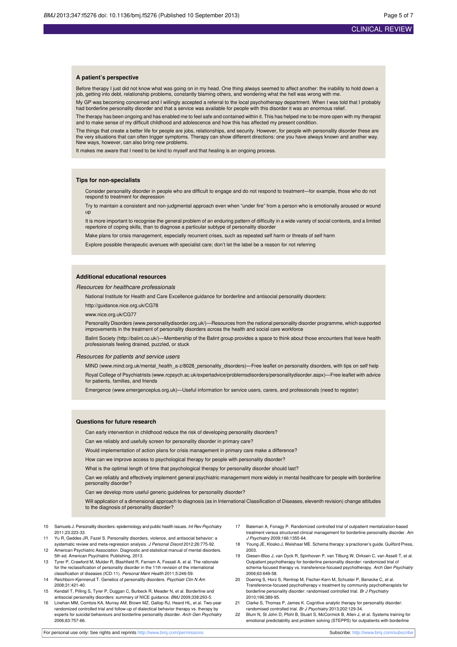## CLINICAL REVIEW

### **A patient's perspective**

Before therapy I just did not know what was going on in my head. One thing always seemed to affect another: the inability to hold down a job, getting into debt, relationship problems, constantly blaming others, and wondering what the hell was wrong with me

My GP was becoming concerned and I willingly accepted a referral to the local psychotherapy department. When I was told that I probably had borderline personality disorder and that a service was available for people with this disorder it was an enormous relief

The therapy has been ongoing and has enabled me to feel safe and contained within it. This has helped me to be more open with my therapist and to make sense of my difficult childhood and adolescence and how this has affected my present condition.

The things that create a better life for people are jobs, relationships, and security. However, for people with personality disorder these are the very situations that can often trigger symptoms. Therapy can show different directions: one you have always known and another way. New ways, however, can also bring new problems.

It makes me aware that I need to be kind to myself and that healing is an ongoing process.

### **Tips for non-specialists**

Consider personality disorder in people who are difficult to engage and do not respond to treatment—for example, those who do not respond to treatment for depression

Try to maintain a consistent and non-judgmental approach even when "under fire" from a person who is emotionally aroused or wound up

It is more important to recognise the general problem of an enduring pattern of difficulty in a wide variety of social contexts, and a limited repertoire of coping skills, than to diagnose a particular subtype of personality disorder

Make plans for crisis management, especially recurrent crises, such as repeated self harm or threats of self harm

Explore possible therapeutic avenues with specialist care; don't let the label be a reason for not referring

#### **Additional educational resources**

Resources for healthcare professionals

National Institute for Health and Care Excellence guidance for borderline and antisocial personality disorders:

<http://guidance.nice.org.uk/CG78>

[www.nice.org.uk/CG77](http://www.nice.org.uk/CG77)

Personality Disorders ([www.personalitydisorder.org.uk/](http://www.personalitydisorder.org.uk/))—Resources from the national personality disorder programme, which supported improvements in the treatment of personality disorders across the health and social care workforce

Balint Society [\(http://balint.co.uk/](http://balint.co.uk/))—Membership of the Balint group provides a space to think about those encounters that leave health professionals feeling drained, puzzled, or stuck

#### Resources for patients and service users

MIND ([www.mind.org.uk/mental\\_health\\_a-z/8028\\_personality\\_disorders\)](http://www.mind.org.uk/mental_health_a-z/8028_personality_disorders)—Free leaflet on personality disorders, with tips on self help Royal College of Psychiatrists ([www.rcpsych.ac.uk/expertadvice/problemsdisorders/personalitydisorder.aspx\)](http://www.rcpsych.ac.uk/expertadvice/problemsdisorders/personalitydisorder.aspx)—Free leaflet with advice for patients, families, and friends

Emergence [\(www.emergenceplus.org.uk\)](http://www.emergenceplus.org.uk/)—Useful information for service users, carers, and professionals (need to register)

#### **Questions for future research**

Can early intervention in childhood reduce the risk of developing personality disorders?

Can we reliably and usefully screen for personality disorder in primary care?

Would implementation of action plans for crisis management in primary care make a difference?

How can we improve access to psychological therapy for people with personality disorder?

What is the optimal length of time that psychological therapy for personality disorder should last?

Can we reliably and effectively implement general psychiatric management more widely in mental healthcare for people with borderline personality disorder?

Can we develop more useful generic guidelines for personality disorder?

Will application of a dimensional approach to diagnosis (as in International Classification of Diseases, eleventh revision) change attitudes to the diagnosis of personality disorder?

- 10 Samuels J. Personality disorders: epidemiology and public health issues. Int Rev Psychiatry 2011;23:223-33.
- 11 Yu R, Geddes JR, Fazel S. Personality disorders, violence, and antisocial behavior: a systematic review and meta-regression analysis. J Personal Disord 2012;26:775-92.
- 12 American Psychiatric Association. Diagnostic and statistical manual of mental disorders. 5th ed. American Psychiatric Publishing, 2013.
- 13 Tyrer P, Crawford M, Mulder R, Blashfield R, Farnam A, Fossati A, et al. The rationale for the reclassification of personality disorder in the 11th revision of the international classification of diseases (ICD-11). Personal Ment Health 2011;5:246-59.
- 14 Reichborn-Kjennerud T. Genetics of personality disorders. Psychiatr Clin N Am 2008;31:421-40.
- 15 Kendall T, Pilling S, Tyrer P, Duggan C, Burbeck R, Meader N, et al. Borderline and antisocial personality disorders: summary of NICE guidance. BMJ 2009;338:293-5.
- 16 Linehan MM, Comtois KA, Murray AM, Brown MZ, Gallop RJ, Heard HL, et al. Two-year randomized controlled trial and follow-up of dialectical behavior therapy vs. therapy by experts for suicidal behaviours and borderline personality disorder. Arch Gen Psychiatry 2006;63:757-66.
- 17 Bateman A, Fonagy P. Randomized controlled trial of outpatient mentalization-based treatment versus structured clinical management for borderline personality disorder. Am J Psychiatry 2009;166:1355-64.
- 18 Young JE, Klosko J, Weishaar ME. Schema therapy: a practioner's guide. Guilford Press, 2003.
- 19 Giesen-Bloo J, van Dyck R, Spinhoven P, van Tilburg W, Dirksen C, van Asselt T, et al. Outpatient psychotherapy for borderline personality disorder: randomized trial of<br>schema-focused therapy vs. transference-focused psychotherapy. *Arch Gen Psychiatr*y 2006;63:649-58.
- 20 Doering S, Horz S, Rentrop M, Fischer-Kern M, Schuster P, Benecke C, et al. Transference-focused psychotherapy v treatment by community psychotherapists for borderline personality disorder: randomised controlled trial. Br J Psychiatry 2010;196:389-95.
- 21 Clarke S, Thomas P, James K. Cognitive analytic therapy for personality disorder: randomised controlled trial. Br J Psychiatry 2013;202:129-34.
- 22 Blum N, St John D, Pfohl B, Stuart S, McCormick B, Allen J, et al. Systems training for emotional predictability and problem solving (STEPPS) for outpatients with borderline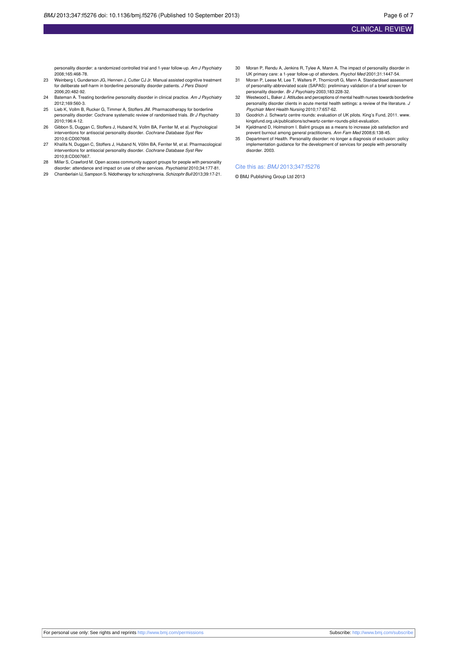personality disorder: a randomized controlled trial and 1-year follow-up. Am J Psychiatry 2008;165:468-78.

- 23 Weinberg I, Gunderson JG, Hennen J, Cutter CJ Jr. Manual assisted cognitive treatment for deliberate self-harm in borderline personality disorder patients. J Pers Disord 2006;20:482-92.
- 24 Bateman A. Treating borderline personality disorder in clinical practice. Am J Psychiatry 2012;169:560-3.
- 25 Lieb K, Vollm B, Rucker G, Timmer A, Stoffers JM. Pharmacotherapy for borderline personality disorder: Cochrane systematic review of randomised trials. Br J Psychiatry 2010;196:4-12.
- 26 Gibbon S, Duggan C, Stoffers J, Huband N, Vollm BA, Ferriter M, et al. Psychological interventions for antisocial personality disorder. Cochrane Database Syst Rev 2010;6:CD007668.
- 27 Khalifa N, Duggan C, Stoffers J, Huband N, Völlm BA, Ferriter M, et al. Pharmacological interventions for antisocial personality disorder. Cochrane Database Syst Rev 2010;8:CD007667.
- 28 Miller S, Crawford M. Open access community support groups for people with personality disorder: attendance and impact on use of other services. Psychiatrist 2010;34:177-81.
- 29 Chamberlain IJ, Sampson S. Nidotherapy for schizophrenia. Schizophr Bull 2013;39:17-21.
- 30 Moran P, Rendu A, Jenkins R, Tylee A, Mann A. The impact of personality disorder in UK primary care: a 1-year follow-up of attenders. Psychol Med 2001;31:1447-54.
- 31 Moran P, Leese M, Lee T, Walters P, Thornicroft G, Mann A. Standardised assessment of personality-abbreviated scale (SAPAS): preliminary validation of a brief screen for
- personality disorder. *Br J Psychiatry* 2003;183:228-32.<br>32 Westwood L, Baker J. Attitudes and perceptions of mental health nurses towards borderline personality disorder clients in acute mental health settings: a review of the literature. J Psychiatr Ment Health Nursing 2010;17:657-62.
- 33 Goodrich J. Schwartz centre rounds: evaluation of UK pilots. King's Fund, 2011. [www.](http://www.kingsfund.org.uk/publications/schwartz-center-rounds-pilot-evaluation) [kingsfund.org.uk/publications/schwartz-center-rounds-pilot-evaluation](http://www.kingsfund.org.uk/publications/schwartz-center-rounds-pilot-evaluation).
- 34 Kjeldmand D, Holmstrom I. Balint groups as a means to increase job satisfaction and prevent burnout among general practitioners. Ann Fam Med 2008;6:138-45.
- 35 Department of Health. Personality disorder: no longer a diagnosis of exclusion: policy implementation guidance for the development of services for people with personality disorder. 2003.

## Cite this as: BMJ 2013;347:f5276

© BMJ Publishing Group Ltd 2013